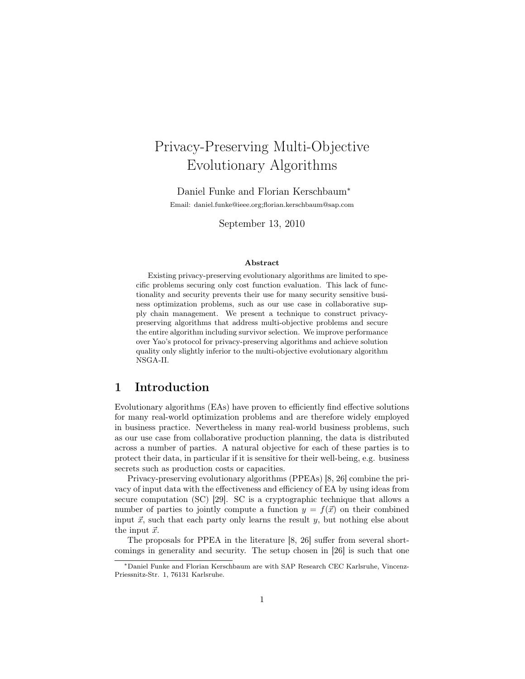# Privacy-Preserving Multi-Objective Evolutionary Algorithms

Daniel Funke and Florian Kerschbaum<sup>∗</sup>

Email: daniel.funke@ieee.org;florian.kerschbaum@sap.com

September 13, 2010

#### Abstract

Existing privacy-preserving evolutionary algorithms are limited to specific problems securing only cost function evaluation. This lack of functionality and security prevents their use for many security sensitive business optimization problems, such as our use case in collaborative supply chain management. We present a technique to construct privacypreserving algorithms that address multi-objective problems and secure the entire algorithm including survivor selection. We improve performance over Yao's protocol for privacy-preserving algorithms and achieve solution quality only slightly inferior to the multi-objective evolutionary algorithm NSGA-II.

# 1 Introduction

Evolutionary algorithms (EAs) have proven to efficiently find effective solutions for many real-world optimization problems and are therefore widely employed in business practice. Nevertheless in many real-world business problems, such as our use case from collaborative production planning, the data is distributed across a number of parties. A natural objective for each of these parties is to protect their data, in particular if it is sensitive for their well-being, e.g. business secrets such as production costs or capacities.

Privacy-preserving evolutionary algorithms (PPEAs) [8, 26] combine the privacy of input data with the effectiveness and efficiency of EA by using ideas from secure computation (SC) [29]. SC is a cryptographic technique that allows a number of parties to jointly compute a function  $y = f(\vec{x})$  on their combined input  $\vec{x}$ , such that each party only learns the result y, but nothing else about the input  $\vec{x}$ .

The proposals for PPEA in the literature [8, 26] suffer from several shortcomings in generality and security. The setup chosen in [26] is such that one

<sup>∗</sup>Daniel Funke and Florian Kerschbaum are with SAP Research CEC Karlsruhe, Vincenz-Priessnitz-Str. 1, 76131 Karlsruhe.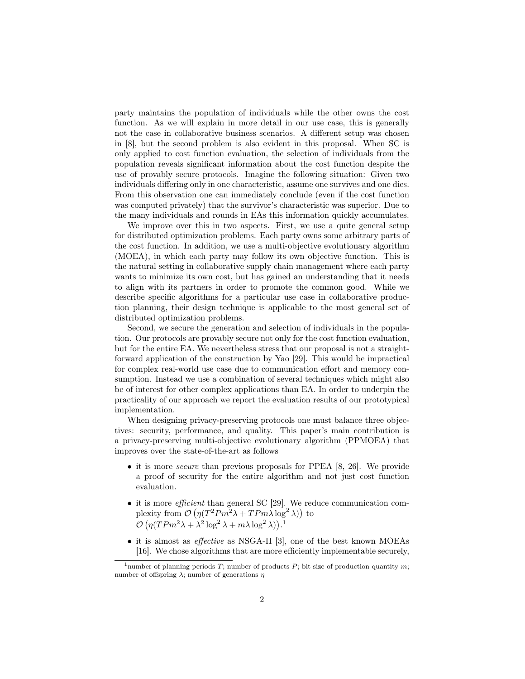party maintains the population of individuals while the other owns the cost function. As we will explain in more detail in our use case, this is generally not the case in collaborative business scenarios. A different setup was chosen in [8], but the second problem is also evident in this proposal. When SC is only applied to cost function evaluation, the selection of individuals from the population reveals significant information about the cost function despite the use of provably secure protocols. Imagine the following situation: Given two individuals differing only in one characteristic, assume one survives and one dies. From this observation one can immediately conclude (even if the cost function was computed privately) that the survivor's characteristic was superior. Due to the many individuals and rounds in EAs this information quickly accumulates.

We improve over this in two aspects. First, we use a quite general setup for distributed optimization problems. Each party owns some arbitrary parts of the cost function. In addition, we use a multi-objective evolutionary algorithm (MOEA), in which each party may follow its own objective function. This is the natural setting in collaborative supply chain management where each party wants to minimize its own cost, but has gained an understanding that it needs to align with its partners in order to promote the common good. While we describe specific algorithms for a particular use case in collaborative production planning, their design technique is applicable to the most general set of distributed optimization problems.

Second, we secure the generation and selection of individuals in the population. Our protocols are provably secure not only for the cost function evaluation, but for the entire EA. We nevertheless stress that our proposal is not a straightforward application of the construction by Yao [29]. This would be impractical for complex real-world use case due to communication effort and memory consumption. Instead we use a combination of several techniques which might also be of interest for other complex applications than EA. In order to underpin the practicality of our approach we report the evaluation results of our prototypical implementation.

When designing privacy-preserving protocols one must balance three objectives: security, performance, and quality. This paper's main contribution is a privacy-preserving multi-objective evolutionary algorithm (PPMOEA) that improves over the state-of-the-art as follows

- it is more *secure* than previous proposals for PPEA [8, 26]. We provide a proof of security for the entire algorithm and not just cost function evaluation.
- it is more *efficient* than general SC [29]. We reduce communication complexity from  $\mathcal{O}\left(\eta(T^2 P m^2 \lambda + T P m \lambda \log^2 \lambda)\right)$  to  $\mathcal{O}\left(\eta(TPm^2\lambda+\lambda^2\log^2\lambda+m\lambda\log^2\lambda)\right).$ <sup>1</sup>
- it is almost as *effective* as NSGA-II [3], one of the best known MOEAs [16]. We chose algorithms that are more efficiently implementable securely,

<sup>&</sup>lt;sup>1</sup>number of planning periods T; number of products P; bit size of production quantity m; number of offspring  $\lambda$ ; number of generations  $\eta$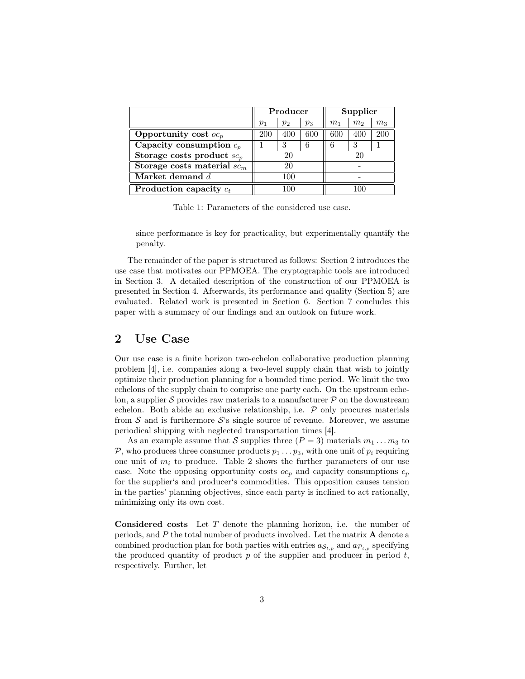|                               | Producer   |       |       | Supplier       |                |                |
|-------------------------------|------------|-------|-------|----------------|----------------|----------------|
|                               | $p_1$      | $p_2$ | $p_3$ | m <sub>1</sub> | m <sub>2</sub> | m <sub>3</sub> |
| Opportunity cost $oc_p$       | <b>200</b> | 400   | 600   | 600            | 400            | 200            |
| Capacity consumption $c_p$    |            | 3     |       |                | 3              |                |
| Storage costs product $sc_p$  | 20         |       | 20    |                |                |                |
| Storage costs material $sc_m$ | 20         |       |       |                |                |                |
| Market demand $d$             | 100        |       |       |                |                |                |
| Production capacity $c_t$     |            |       |       |                |                |                |

Table 1: Parameters of the considered use case.

since performance is key for practicality, but experimentally quantify the penalty.

The remainder of the paper is structured as follows: Section 2 introduces the use case that motivates our PPMOEA. The cryptographic tools are introduced in Section 3. A detailed description of the construction of our PPMOEA is presented in Section 4. Afterwards, its performance and quality (Section 5) are evaluated. Related work is presented in Section 6. Section 7 concludes this paper with a summary of our findings and an outlook on future work.

# 2 Use Case

Our use case is a finite horizon two-echelon collaborative production planning problem [4], i.e. companies along a two-level supply chain that wish to jointly optimize their production planning for a bounded time period. We limit the two echelons of the supply chain to comprise one party each. On the upstream echelon, a supplier  $S$  provides raw materials to a manufacturer  $P$  on the downstream echelon. Both abide an exclusive relationship, i.e.  $P$  only procures materials from  $S$  and is furthermore  $S$ 's single source of revenue. Moreover, we assume periodical shipping with neglected transportation times [4].

As an example assume that S supplies three  $(P = 3)$  materials  $m_1 \dots m_3$  to P, who produces three consumer products  $p_1 \nldots p_3$ , with one unit of  $p_i$  requiring one unit of  $m_i$  to produce. Table 2 shows the further parameters of our use case. Note the opposing opportunity costs  $oc_p$  and capacity consumptions  $c_p$ for the supplier's and producer's commodities. This opposition causes tension in the parties' planning objectives, since each party is inclined to act rationally, minimizing only its own cost.

Considered costs Let T denote the planning horizon, i.e. the number of periods, and P the total number of products involved. Let the matrix A denote a combined production plan for both parties with entries  $a_{\mathcal{S}_{t,p}}$  and  $a_{\mathcal{P}_{t,p}}$  specifying the produced quantity of product  $p$  of the supplier and producer in period  $t$ , respectively. Further, let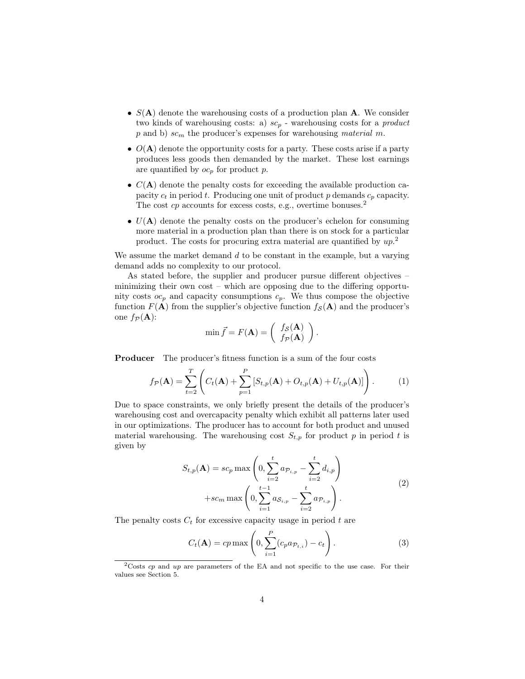- $S(A)$  denote the warehousing costs of a production plan A. We consider two kinds of warehousing costs: a)  $sc_p$  - warehousing costs for a *product*  $p$  and b)  $sc<sub>m</sub>$  the producer's expenses for warehousing *material* m.
- $O(A)$  denote the opportunity costs for a party. These costs arise if a party produces less goods then demanded by the market. These lost earnings are quantified by  $oc_p$  for product p.
- $C(A)$  denote the penalty costs for exceeding the available production capacity  $c_t$  in period t. Producing one unit of product p demands  $c_p$  capacity. The cost  $cp$  accounts for excess costs, e.g., overtime bonuses.<sup>2</sup>
- $U(A)$  denote the penalty costs on the producer's echelon for consuming more material in a production plan than there is on stock for a particular product. The costs for procuring extra material are quantified by  $up.^2$

We assume the market demand  $d$  to be constant in the example, but a varying demand adds no complexity to our protocol.

As stated before, the supplier and producer pursue different objectives – minimizing their own cost – which are opposing due to the differing opportunity costs  $oc_p$  and capacity consumptions  $c_p$ . We thus compose the objective function  $F(A)$  from the supplier's objective function  $f_{\mathcal{S}}(A)$  and the producer's one  $f_{\mathcal{P}}(A)$ :

$$
\min \vec{f} = F(\mathbf{A}) = \begin{pmatrix} f_{\mathcal{S}}(\mathbf{A}) \\ f_{\mathcal{P}}(\mathbf{A}) \end{pmatrix}.
$$

Producer The producer's fitness function is a sum of the four costs

$$
f_{\mathcal{P}}(\mathbf{A}) = \sum_{t=2}^{T} \left( C_t(\mathbf{A}) + \sum_{p=1}^{P} \left[ S_{t,p}(\mathbf{A}) + O_{t,p}(\mathbf{A}) + U_{t,p}(\mathbf{A}) \right] \right). \tag{1}
$$

Due to space constraints, we only briefly present the details of the producer's warehousing cost and overcapacity penalty which exhibit all patterns later used in our optimizations. The producer has to account for both product and unused material warehousing. The warehousing cost  $S_{t,p}$  for product p in period t is given by

$$
S_{t,p}(\mathbf{A}) = sc_p \max \left( 0, \sum_{i=2}^{t} a_{p_{i,p}} - \sum_{i=2}^{t} d_{i,p} \right) + sc_m \max \left( 0, \sum_{i=1}^{t-1} a_{S_{i,p}} - \sum_{i=2}^{t} a_{p_{i,p}} \right).
$$
\n(2)

The penalty costs  $C_t$  for excessive capacity usage in period t are

$$
C_t(\mathbf{A}) = cp \max\left(0, \sum_{i=1}^P (c_p a_{\mathcal{P}_{t,i}}) - c_t\right).
$$
 (3)

 $2\text{Costs}$  cp and up are parameters of the EA and not specific to the use case. For their values see Section 5.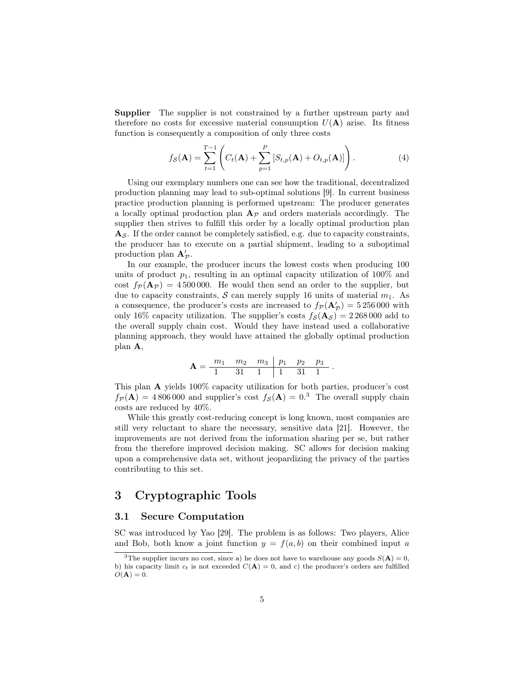Supplier The supplier is not constrained by a further upstream party and therefore no costs for excessive material consumption  $U(\mathbf{A})$  arise. Its fitness function is consequently a composition of only three costs

$$
f_{\mathcal{S}}(\mathbf{A}) = \sum_{t=1}^{T-1} \left( C_t(\mathbf{A}) + \sum_{p=1}^{P} \left[ S_{t,p}(\mathbf{A}) + O_{t,p}(\mathbf{A}) \right] \right). \tag{4}
$$

Using our exemplary numbers one can see how the traditional, decentralized production planning may lead to sub-optimal solutions [9]. In current business practice production planning is performed upstream: The producer generates a locally optimal production plan  $A_{\mathcal{P}}$  and orders materials accordingly. The supplier then strives to fulfill this order by a locally optimal production plan  $A_{\mathcal{S}}$ . If the order cannot be completely satisfied, e.g. due to capacity constraints, the producer has to execute on a partial shipment, leading to a suboptimal production plan  $A'_{\mathcal{P}}$ .

In our example, the producer incurs the lowest costs when producing 100 units of product  $p_1$ , resulting in an optimal capacity utilization of 100% and cost  $f_P (A_P) = 4500000$ . He would then send an order to the supplier, but due to capacity constraints, S can merely supply 16 units of material  $m_1$ . As a consequence, the producer's costs are increased to  $f_{\mathcal{P}}(\mathbf{A}_{\mathcal{P}}') = 5\,256\,000$  with only 16% capacity utilization. The supplier's costs  $f_{\mathcal{S}}(A_{\mathcal{S}}) = 2\,268\,000$  add to the overall supply chain cost. Would they have instead used a collaborative planning approach, they would have attained the globally optimal production plan A,

$$
\mathbf{A} = \frac{m_1 \quad m_2 \quad m_3 \quad p_1 \quad p_2 \quad p_3}{1 \quad 31 \quad 1 \quad 1 \quad 31 \quad 1}.
$$

This plan A yields 100% capacity utilization for both parties, producer's cost  $f_{\mathcal{P}}(A) = 4806000$  and supplier's cost  $f_{\mathcal{S}}(A) = 0.3$  The overall supply chain costs are reduced by 40%.

While this greatly cost-reducing concept is long known, most companies are still very reluctant to share the necessary, sensitive data [21]. However, the improvements are not derived from the information sharing per se, but rather from the therefore improved decision making. SC allows for decision making upon a comprehensive data set, without jeopardizing the privacy of the parties contributing to this set.

# 3 Cryptographic Tools

## 3.1 Secure Computation

SC was introduced by Yao [29]. The problem is as follows: Two players, Alice and Bob, both know a joint function  $y = f(a, b)$  on their combined input a

<sup>&</sup>lt;sup>3</sup>The supplier incurs no cost, since a) he does not have to warehouse any goods  $S(\mathbf{A}) = 0$ , b) his capacity limit  $c_t$  is not exceeded  $C(\mathbf{A}) = 0$ , and c) the producer's orders are fulfilled  $O(\mathbf{A}) = 0.$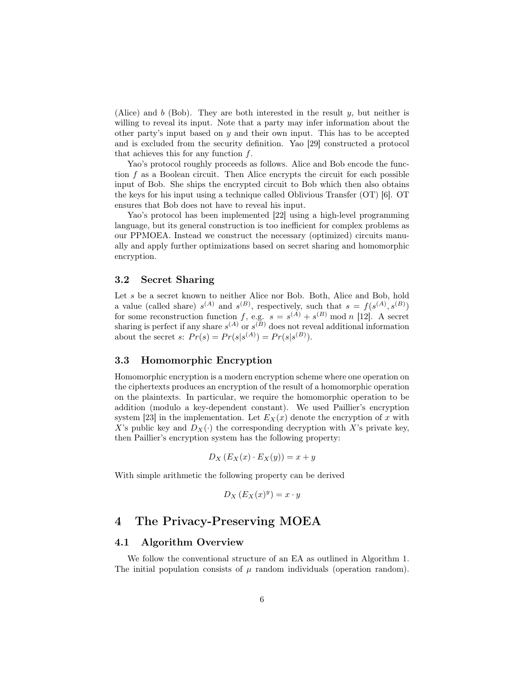(Alice) and b (Bob). They are both interested in the result  $y$ , but neither is willing to reveal its input. Note that a party may infer information about the other party's input based on  $y$  and their own input. This has to be accepted and is excluded from the security definition. Yao [29] constructed a protocol that achieves this for any function f.

Yao's protocol roughly proceeds as follows. Alice and Bob encode the function  $f$  as a Boolean circuit. Then Alice encrypts the circuit for each possible input of Bob. She ships the encrypted circuit to Bob which then also obtains the keys for his input using a technique called Oblivious Transfer (OT) [6]. OT ensures that Bob does not have to reveal his input.

Yao's protocol has been implemented [22] using a high-level programming language, but its general construction is too inefficient for complex problems as our PPMOEA. Instead we construct the necessary (optimized) circuits manually and apply further optimizations based on secret sharing and homomorphic encryption.

## 3.2 Secret Sharing

Let s be a secret known to neither Alice nor Bob. Both, Alice and Bob, hold a value (called share)  $s^{(A)}$  and  $s^{(B)}$ , respectively, such that  $s = f(s^{(A)}, s^{(B)})$ for some reconstruction function f, e.g.  $s = s^{(A)} + s^{(B)} \mod n$  [12]. A secret sharing is perfect if any share  $s^{(A)}$  or  $s^{(B)}$  does not reveal additional information about the secret s:  $Pr(s) = Pr(s|s^{(A)}) = Pr(s|s^{(B)})$ .

## 3.3 Homomorphic Encryption

Homomorphic encryption is a modern encryption scheme where one operation on the ciphertexts produces an encryption of the result of a homomorphic operation on the plaintexts. In particular, we require the homomorphic operation to be addition (modulo a key-dependent constant). We used Paillier's encryption system [23] in the implementation. Let  $E_X(x)$  denote the encryption of x with X's public key and  $D_X(\cdot)$  the corresponding decryption with X's private key, then Paillier's encryption system has the following property:

$$
D_X\left(E_X(x)\cdot E_X(y)\right) = x + y
$$

With simple arithmetic the following property can be derived

$$
D_X\left(E_X(x)^y\right) = x \cdot y
$$

## 4 The Privacy-Preserving MOEA

#### 4.1 Algorithm Overview

We follow the conventional structure of an EA as outlined in Algorithm 1. The initial population consists of  $\mu$  random individuals (operation random).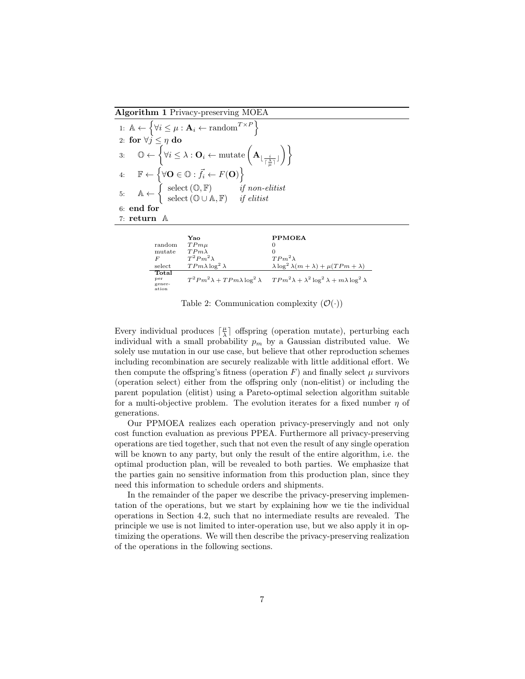Algorithm 1 Privacy-preserving MOEA

1:  $\mathbb{A} \leftarrow \left\{ \forall i \leq \mu : \mathbf{A}_i \leftarrow \text{random}^{T \times P} \right\}$ 2: for  $\forall j \leq \eta \textbf{ do}$  $\mathbb{3}\colon\quad \mathbb{O}\leftarrow\left\{\forall i\leq\lambda:\mathbf{O}_i\leftarrow\text{mutate}\left(\mathbf{A}_{\lfloor \frac{i}{\lceil\frac{\lambda}{\mu}\rceil}\rfloor}\right)\right\}.$  $\setminus$ 4:  $\mathbb{F} \leftarrow \{ \forall \mathbf{O} \in \mathbb{O} : \vec{f}_i \leftarrow F(\mathbf{O}) \}$ 5:  $A \leftarrow \begin{cases} \text{select}(\mathbb{O}, \mathbb{F}) & \text{if non-elitist} \\ \text{select}(\mathbb{O}, \mathbb{F}) & \text{if allif.} \end{cases}$ select  $(\mathbb{O} \cup \mathbb{A}, \mathbb{F})$  if elitist 6: end for 7: return A

|                                                           | Yao                         | <b>PPMOEA</b>                                                                                                              |
|-----------------------------------------------------------|-----------------------------|----------------------------------------------------------------------------------------------------------------------------|
| random                                                    | $TPm\mu$                    | 0                                                                                                                          |
| mutate                                                    | $TPm\lambda$                |                                                                                                                            |
| F                                                         | $T^2 P m^2 \lambda$         | $TPm^2\lambda$                                                                                                             |
| select                                                    | $TPm\lambda \log^2 \lambda$ | $\lambda \log^2 \lambda(m + \lambda) + \mu(TPm + \lambda)$                                                                 |
| $\operatorname{\mathsf{Total}}$<br>per<br>gener-<br>ation |                             | $T^2 P m^2 \lambda + T P m \lambda \log^2 \lambda$ $T P m^2 \lambda + \lambda^2 \log^2 \lambda + m \lambda \log^2 \lambda$ |

Table 2: Communication complexity  $(\mathcal{O}(\cdot))$ 

Every individual produces  $\lceil \frac{\mu}{\lambda} \rceil$  offspring (operation mutate), perturbing each individual with a small probability  $p_m$  by a Gaussian distributed value. We solely use mutation in our use case, but believe that other reproduction schemes including recombination are securely realizable with little additional effort. We then compute the offspring's fitness (operation  $F$ ) and finally select  $\mu$  survivors (operation select) either from the offspring only (non-elitist) or including the parent population (elitist) using a Pareto-optimal selection algorithm suitable for a multi-objective problem. The evolution iterates for a fixed number  $\eta$  of generations.

Our PPMOEA realizes each operation privacy-preservingly and not only cost function evaluation as previous PPEA. Furthermore all privacy-preserving operations are tied together, such that not even the result of any single operation will be known to any party, but only the result of the entire algorithm, i.e. the optimal production plan, will be revealed to both parties. We emphasize that the parties gain no sensitive information from this production plan, since they need this information to schedule orders and shipments.

In the remainder of the paper we describe the privacy-preserving implementation of the operations, but we start by explaining how we tie the individual operations in Section 4.2, such that no intermediate results are revealed. The principle we use is not limited to inter-operation use, but we also apply it in optimizing the operations. We will then describe the privacy-preserving realization of the operations in the following sections.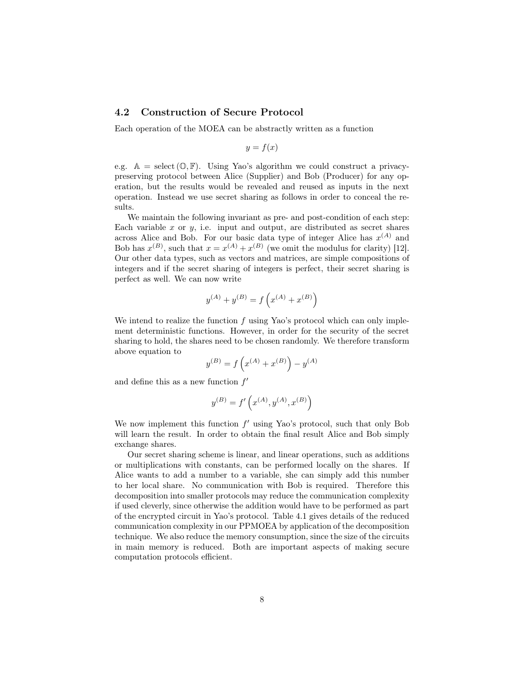## 4.2 Construction of Secure Protocol

Each operation of the MOEA can be abstractly written as a function

$$
y = f(x)
$$

e.g.  $A = \text{select}(\mathbb{O}, \mathbb{F})$ . Using Yao's algorithm we could construct a privacypreserving protocol between Alice (Supplier) and Bob (Producer) for any operation, but the results would be revealed and reused as inputs in the next operation. Instead we use secret sharing as follows in order to conceal the results.

We maintain the following invariant as pre- and post-condition of each step: Each variable x or  $y$ , i.e. input and output, are distributed as secret shares across Alice and Bob. For our basic data type of integer Alice has  $x^{(A)}$  and Bob has  $x^{(B)}$ , such that  $x = x^{(A)} + x^{(B)}$  (we omit the modulus for clarity) [12]. Our other data types, such as vectors and matrices, are simple compositions of integers and if the secret sharing of integers is perfect, their secret sharing is perfect as well. We can now write

$$
y^{(A)} + y^{(B)} = f\left(x^{(A)} + x^{(B)}\right)
$$

We intend to realize the function  $f$  using Yao's protocol which can only implement deterministic functions. However, in order for the security of the secret sharing to hold, the shares need to be chosen randomly. We therefore transform above equation to

$$
y^{(B)} = f\left(x^{(A)} + x^{(B)}\right) - y^{(A)}
$$

and define this as a new function  $f'$ 

$$
y^{(B)}=f'\left(x^{(A)},y^{(A)},x^{(B)}\right)
$$

We now implement this function  $f'$  using Yao's protocol, such that only Bob will learn the result. In order to obtain the final result Alice and Bob simply exchange shares.

Our secret sharing scheme is linear, and linear operations, such as additions or multiplications with constants, can be performed locally on the shares. If Alice wants to add a number to a variable, she can simply add this number to her local share. No communication with Bob is required. Therefore this decomposition into smaller protocols may reduce the communication complexity if used cleverly, since otherwise the addition would have to be performed as part of the encrypted circuit in Yao's protocol. Table 4.1 gives details of the reduced communication complexity in our PPMOEA by application of the decomposition technique. We also reduce the memory consumption, since the size of the circuits in main memory is reduced. Both are important aspects of making secure computation protocols efficient.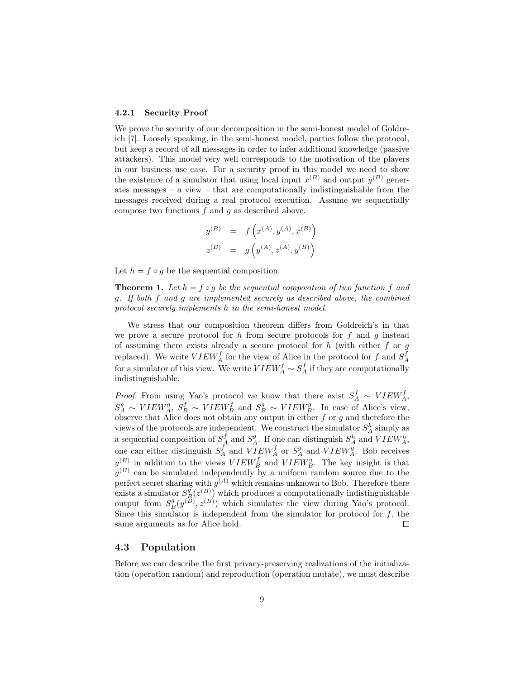#### 4.2.1 Security Proof

We prove the security of our decomposition in the semi-honest model of Goldreich [7]. Loosely speaking, in the semi-honest model, parties follow the protocol, but keep a record of all messages in order to infer additional knowledge (passive attackers). This model very well corresponds to the motivation of the players in our business use case. For a security proof in this model we need to show the existence of a simulator that using local input  $x^{(B)}$  and output  $y^{(B)}$  generates messages – a view – that are computationally indistinguishable from the messages received during a real protocol execution. Assume we sequentially compose two functions  $f$  and  $g$  as described above.

$$
y^{(B)} = f(x^{(A)}, y^{(A)}, x^{(B)})
$$
  

$$
z^{(B)} = g(y^{(A)}, z^{(A)}, y^{(B)})
$$

Let  $h = f \circ q$  be the sequential composition.

**Theorem 1.** Let  $h = f \circ g$  be the sequential composition of two function f and g. If both f and g are implemented securely as described above, the combined protocol securely implements h in the semi-honest model.

We stress that our composition theorem differs from Goldreich's in that we prove a secure protocol for h from secure protocols for f and g instead of assuming there exists already a secure protocol for  $h$  (with either  $f$  or  $g$ replaced). We write  $VIEW_A^f$  for the view of Alice in the protocol for f and  $S_A^f$ for a simulator of this view. We write  $VIEW_A^f \sim S_A^f$  if they are computationally indistinguishable.

*Proof.* From using Yao's protocol we know that there exist  $S_A^f \sim VIEW_A^f$ ,  $S_A^g \sim VIEW_A^g$ ,  $S_B^f \sim VIEW_B^f$  and  $S_B^g \sim VIEW_B^g$ . In case of Alice's view, observe that Alice does not obtain any output in either  $f$  or  $g$  and therefore the views of the protocols are independent. We construct the simulator  $S_A^h$  simply as a sequential composition of  $S_A^f$  and  $S_A^g$ . If one can distinguish  $S_A^h$  and  $VIEW_A^h$ , one can either distinguish  $S_A^f$  and  $VIEW_A^f$  or  $S_A^g$  and  $VIEW_A^g$ . Bob receives  $y^{(B)}$  in addition to the views  $VIEW_B^f$  and  $VIEW_B^g$ . The key insight is that  $y<sup>(B)</sup>$  can be simulated independently by a uniform random source due to the perfect secret sharing with  $y^{(A)}$  which remains unknown to Bob. Therefore there exists a simulator  $S_{\cancel{B}}^{\cancel{g}}(z^{(B)})$  which produces a computationally indistinguishable output from  $S_B^g(y^{(\mathcal{B})}, z^{(\mathcal{B})})$  which simulates the view during Yao's protocol. Since this simulator is independent from the simulator for protocol for  $f$ , the same arguments as for Alice hold.  $\Box$ 

## 4.3 Population

Before we can describe the first privacy-preserving realizations of the initialization (operation random) and reproduction (operation mutate), we must describe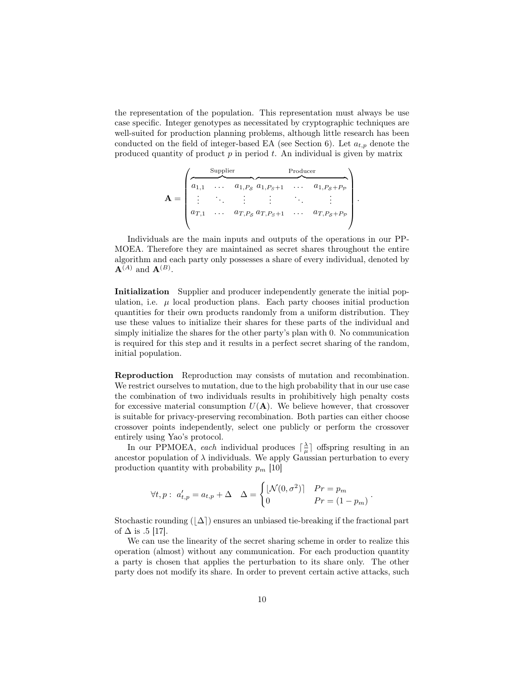the representation of the population. This representation must always be use case specific. Integer genotypes as necessitated by cryptographic techniques are well-suited for production planning problems, although little research has been conducted on the field of integer-based EA (see Section 6). Let  $a_{t,p}$  denote the produced quantity of product  $p$  in period  $t$ . An individual is given by matrix

$$
\mathbf{A} = \begin{pmatrix} \text{Supplier} & \text{Product} \\ \hline a_{1,1} & \cdots & a_{1,P_S} & a_{1,P_S+1} & \cdots & a_{1,P_S+P_P} \\ \vdots & \ddots & \vdots & \ddots & \vdots \\ a_{T,1} & \cdots & a_{T,P_S} & a_{T,P_S+1} & \cdots & a_{T,P_S+P_P} \end{pmatrix}
$$

.

Individuals are the main inputs and outputs of the operations in our PP-MOEA. Therefore they are maintained as secret shares throughout the entire algorithm and each party only possesses a share of every individual, denoted by  $\mathbf{A}^{(A)}$  and  $\mathbf{A}^{(B)}$ .

Initialization Supplier and producer independently generate the initial population, i.e.  $\mu$  local production plans. Each party chooses initial production quantities for their own products randomly from a uniform distribution. They use these values to initialize their shares for these parts of the individual and simply initialize the shares for the other party's plan with 0. No communication is required for this step and it results in a perfect secret sharing of the random, initial population.

Reproduction Reproduction may consists of mutation and recombination. We restrict ourselves to mutation, due to the high probability that in our use case the combination of two individuals results in prohibitively high penalty costs for excessive material consumption  $U(A)$ . We believe however, that crossover is suitable for privacy-preserving recombination. Both parties can either choose crossover points independently, select one publicly or perform the crossover entirely using Yao's protocol.

In our PPMOEA, each individual produces  $\lceil \frac{\lambda}{\mu} \rceil$  offspring resulting in an ancestor population of  $\lambda$  individuals. We apply Gaussian perturbation to every production quantity with probability  $p_m$  [10]

$$
\forall t, p: a'_{t,p} = a_{t,p} + \Delta \quad \Delta = \begin{cases} \lfloor \mathcal{N}(0, \sigma^2) \rfloor & Pr = p_m \\ 0 & Pr = (1 - p_m) \end{cases}.
$$

Stochastic rounding  $(\Delta)$  ensures an unbiased tie-breaking if the fractional part of  $\Delta$  is .5 [17].

We can use the linearity of the secret sharing scheme in order to realize this operation (almost) without any communication. For each production quantity a party is chosen that applies the perturbation to its share only. The other party does not modify its share. In order to prevent certain active attacks, such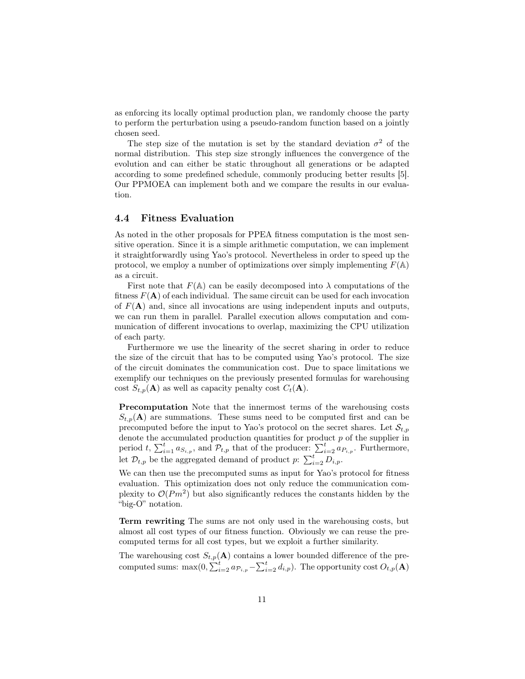as enforcing its locally optimal production plan, we randomly choose the party to perform the perturbation using a pseudo-random function based on a jointly chosen seed.

The step size of the mutation is set by the standard deviation  $\sigma^2$  of the normal distribution. This step size strongly influences the convergence of the evolution and can either be static throughout all generations or be adapted according to some predefined schedule, commonly producing better results [5]. Our PPMOEA can implement both and we compare the results in our evaluation.

## 4.4 Fitness Evaluation

As noted in the other proposals for PPEA fitness computation is the most sensitive operation. Since it is a simple arithmetic computation, we can implement it straightforwardly using Yao's protocol. Nevertheless in order to speed up the protocol, we employ a number of optimizations over simply implementing  $F(\mathbb{A})$ as a circuit.

First note that  $F(\mathbb{A})$  can be easily decomposed into  $\lambda$  computations of the fitness  $F(A)$  of each individual. The same circuit can be used for each invocation of  $F(A)$  and, since all invocations are using independent inputs and outputs, we can run them in parallel. Parallel execution allows computation and communication of different invocations to overlap, maximizing the CPU utilization of each party.

Furthermore we use the linearity of the secret sharing in order to reduce the size of the circuit that has to be computed using Yao's protocol. The size of the circuit dominates the communication cost. Due to space limitations we exemplify our techniques on the previously presented formulas for warehousing cost  $S_{t,p}(\mathbf{A})$  as well as capacity penalty cost  $C_t(\mathbf{A})$ .

Precomputation Note that the innermost terms of the warehousing costs  $S_{t,p}(\mathbf{A})$  are summations. These sums need to be computed first and can be precomputed before the input to Yao's protocol on the secret shares. Let  $\mathcal{S}_{t,p}$ denote the accumulated production quantities for product  $p$  of the supplier in period t,  $\sum_{i=1}^t a_{S_{i,p}}$ , and  $\mathcal{P}_{t,p}$  that of the producer:  $\sum_{i=2}^t a_{P_{i,p}}$ . Furthermore, let  $\mathcal{D}_{t,p}$  be the aggregated demand of product  $p: \sum_{i=2}^{t} D_{i,p}$ .

We can then use the precomputed sums as input for Yao's protocol for fitness evaluation. This optimization does not only reduce the communication complexity to  $\mathcal{O}(Pm^2)$  but also significantly reduces the constants hidden by the "big-O" notation.

Term rewriting The sums are not only used in the warehousing costs, but almost all cost types of our fitness function. Obviously we can reuse the precomputed terms for all cost types, but we exploit a further similarity.

The warehousing cost  $S_{t,p}(\mathbf{A})$  contains a lower bounded difference of the precomputed sums: max $(0, \sum_{i=2}^{t} a_{p_{i,p}} - \sum_{i=2}^{t} d_{i,p})$ . The opportunity cost  $O_{t,p}(\mathbf{A})$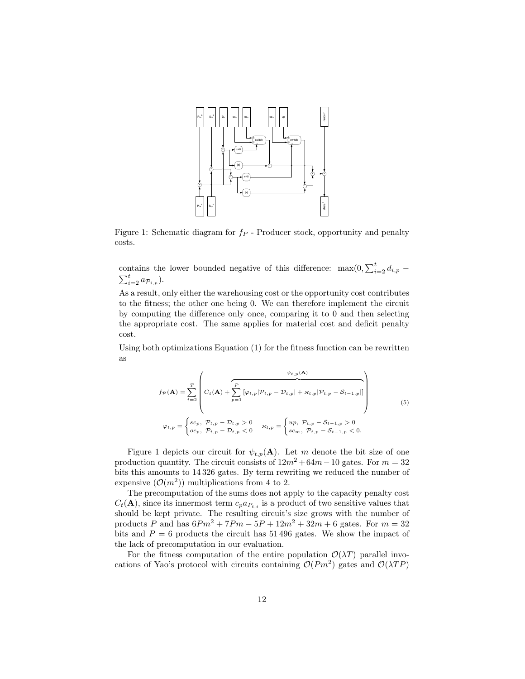

Figure 1: Schematic diagram for  $f_P$  - Producer stock, opportunity and penalty costs.

contains the lower bounded negative of this difference:  $\max(0, \sum_{i=2}^{t} d_{i,p}$  $\sum_{i=2}^t a_{\mathcal{P}_{i,p}}$ ).

As a result, only either the warehousing cost or the opportunity cost contributes to the fitness; the other one being 0. We can therefore implement the circuit by computing the difference only once, comparing it to 0 and then selecting the appropriate cost. The same applies for material cost and deficit penalty cost.

Using both optimizations Equation (1) for the fitness function can be rewritten as

$$
f_{\mathcal{P}}(\mathbf{A}) = \sum_{t=2}^{T} \left( C_t(\mathbf{A}) + \sum_{p=1}^{P} [\varphi_{t,p} | \mathcal{P}_{t,p} - \mathcal{D}_{t,p}] + \varkappa_{t,p} | \mathcal{P}_{t,p} - \mathcal{S}_{t-1,p}] \right)
$$
  

$$
\varphi_{t,p} = \begin{cases} sc_p, & \mathcal{P}_{t,p} - \mathcal{D}_{t,p} > 0 \\ oc_p, & \mathcal{P}_{t,p} - \mathcal{D}_{t,p} < 0 \end{cases} \qquad \varkappa_{t,p} = \begin{cases} up, & \mathcal{P}_{t,p} - \mathcal{S}_{t-1,p} > 0 \\ sc_m, & \mathcal{P}_{t,p} - \mathcal{S}_{t-1,p} < 0. \end{cases}
$$
(5)

Figure 1 depicts our circuit for  $\psi_{t,p}(\mathbf{A})$ . Let m denote the bit size of one production quantity. The circuit consists of  $12m^2 + 64m - 10$  gates. For  $m = 32$ bits this amounts to 14 326 gates. By term rewriting we reduced the number of expensive  $(\mathcal{O}(m^2))$  multiplications from 4 to 2.

The precomputation of the sums does not apply to the capacity penalty cost  $C_t(\mathbf{A})$ , since its innermost term  $c_p a_{P_{t,i}}$  is a product of two sensitive values that should be kept private. The resulting circuit's size grows with the number of products P and has  $6Pm^2 + 7Pm - 5P + 12m^2 + 32m + 6$  gates. For  $m = 32$ bits and  $P = 6$  products the circuit has 51 496 gates. We show the impact of the lack of precomputation in our evaluation.

For the fitness computation of the entire population  $\mathcal{O}(\lambda T)$  parallel invocations of Yao's protocol with circuits containing  $\mathcal{O}(Pm^2)$  gates and  $\mathcal{O}(\lambda TP)$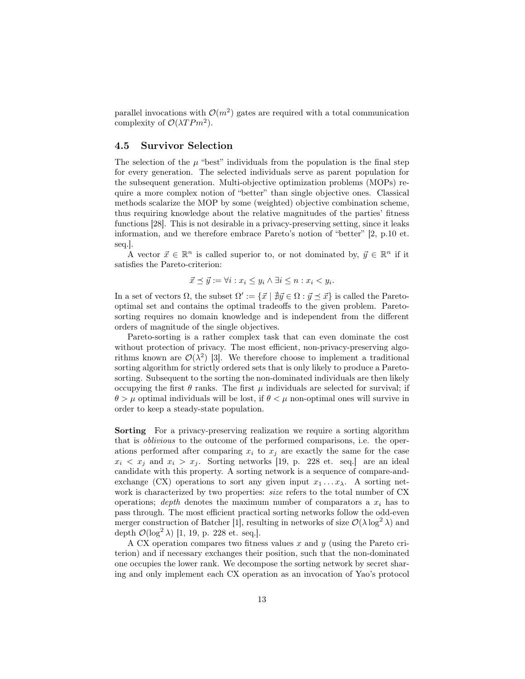parallel invocations with  $\mathcal{O}(m^2)$  gates are required with a total communication complexity of  $\mathcal{O}(\lambda T P m^2)$ .

## 4.5 Survivor Selection

The selection of the  $\mu$  "best" individuals from the population is the final step for every generation. The selected individuals serve as parent population for the subsequent generation. Multi-objective optimization problems (MOPs) require a more complex notion of "better" than single objective ones. Classical methods scalarize the MOP by some (weighted) objective combination scheme, thus requiring knowledge about the relative magnitudes of the parties' fitness functions [28]. This is not desirable in a privacy-preserving setting, since it leaks information, and we therefore embrace Pareto's notion of "better" [2, p.10 et. seq.].

A vector  $\vec{x} \in \mathbb{R}^n$  is called superior to, or not dominated by,  $\vec{y} \in \mathbb{R}^n$  if it satisfies the Pareto-criterion:

$$
\vec{x} \preceq \vec{y} := \forall i : x_i \leq y_i \land \exists i \leq n : x_i < y_i.
$$

In a set of vectors  $\Omega$ , the subset  $\Omega' := \{\vec{x} \mid \vec{\#y} \in \Omega : \vec{y} \preceq \vec{x}\}\$ is called the Paretooptimal set and contains the optimal tradeoffs to the given problem. Paretosorting requires no domain knowledge and is independent from the different orders of magnitude of the single objectives.

Pareto-sorting is a rather complex task that can even dominate the cost without protection of privacy. The most efficient, non-privacy-preserving algorithms known are  $\mathcal{O}(\lambda^2)$  [3]. We therefore choose to implement a traditional sorting algorithm for strictly ordered sets that is only likely to produce a Paretosorting. Subsequent to the sorting the non-dominated individuals are then likely occupying the first  $\theta$  ranks. The first  $\mu$  individuals are selected for survival; if  $\theta > \mu$  optimal individuals will be lost, if  $\theta < \mu$  non-optimal ones will survive in order to keep a steady-state population.

Sorting For a privacy-preserving realization we require a sorting algorithm that is oblivious to the outcome of the performed comparisons, i.e. the operations performed after comparing  $x_i$  to  $x_j$  are exactly the same for the case  $x_i \leq x_j$  and  $x_i > x_j$ . Sorting networks [19, p. 228 et. seq.] are an ideal candidate with this property. A sorting network is a sequence of compare-andexchange (CX) operations to sort any given input  $x_1 \ldots x_\lambda$ . A sorting network is characterized by two properties: size refers to the total number of CX operations; depth denotes the maximum number of comparators a  $x_i$  has to pass through. The most efficient practical sorting networks follow the odd-even merger construction of Batcher [1], resulting in networks of size  $\mathcal{O}(\lambda \log^2 \lambda)$  and depth  $\mathcal{O}(\log^2 \lambda)$  [1, 19, p. 228 et. seq.].

A CX operation compares two fitness values x and  $y$  (using the Pareto criterion) and if necessary exchanges their position, such that the non-dominated one occupies the lower rank. We decompose the sorting network by secret sharing and only implement each CX operation as an invocation of Yao's protocol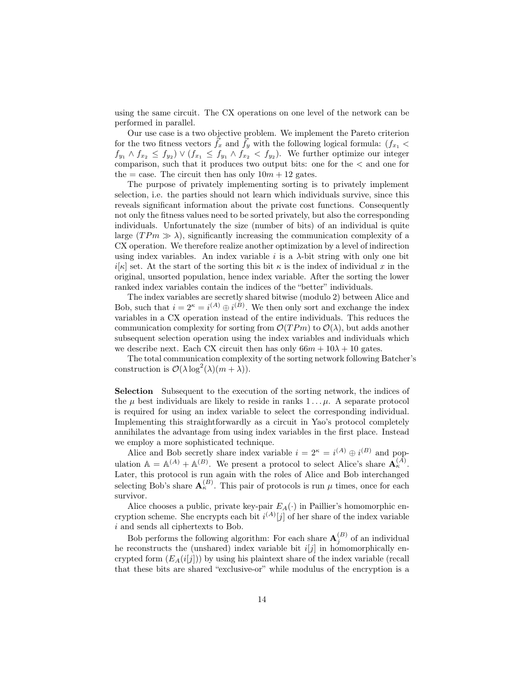using the same circuit. The CX operations on one level of the network can be performed in parallel.

Our use case is a two objective problem. We implement the Pareto criterion for the two fitness vectors  $\vec{f}_x$  and  $\vec{f}_y$  with the following logical formula:  $(f_{x_1}$  <  $f_{y_1} \wedge f_{x_2} \leq f_{y_2} \vee (f_{x_1} \leq f_{y_1} \wedge f_{x_2} < f_{y_2}).$  We further optimize our integer comparison, such that it produces two output bits: one for the < and one for the = case. The circuit then has only  $10m + 12$  gates.

The purpose of privately implementing sorting is to privately implement selection, i.e. the parties should not learn which individuals survive, since this reveals significant information about the private cost functions. Consequently not only the fitness values need to be sorted privately, but also the corresponding individuals. Unfortunately the size (number of bits) of an individual is quite large  $(T Pm \gg \lambda)$ , significantly increasing the communication complexity of a CX operation. We therefore realize another optimization by a level of indirection using index variables. An index variable i is a  $\lambda$ -bit string with only one bit  $i[\kappa]$  set. At the start of the sorting this bit  $\kappa$  is the index of individual x in the original, unsorted population, hence index variable. After the sorting the lower ranked index variables contain the indices of the "better" individuals.

The index variables are secretly shared bitwise (modulo 2) between Alice and Bob, such that  $i = 2^{\kappa} = i^{(A)} \oplus i^{(B)}$ . We then only sort and exchange the index variables in a CX operation instead of the entire individuals. This reduces the communication complexity for sorting from  $\mathcal{O}(TPm)$  to  $\mathcal{O}(\lambda)$ , but adds another subsequent selection operation using the index variables and individuals which we describe next. Each CX circuit then has only  $66m + 10\lambda + 10$  gates.

The total communication complexity of the sorting network following Batcher's construction is  $\mathcal{O}(\lambda \log^2(\lambda)(m + \lambda)).$ 

Selection Subsequent to the execution of the sorting network, the indices of the  $\mu$  best individuals are likely to reside in ranks  $1 \ldots \mu$ . A separate protocol is required for using an index variable to select the corresponding individual. Implementing this straightforwardly as a circuit in Yao's protocol completely annihilates the advantage from using index variables in the first place. Instead we employ a more sophisticated technique.

Alice and Bob secretly share index variable  $i = 2^{\kappa} = i^{(A)} \oplus i^{(B)}$  and population  $\mathbb{A} = \mathbb{A}^{(A)} + \mathbb{A}^{(B)}$ . We present a protocol to select Alice's share  $\mathbf{A}_{\kappa}^{(A)}$ . Later, this protocol is run again with the roles of Alice and Bob interchanged selecting Bob's share  $\mathbf{A}_{\kappa}^{(B)}$ . This pair of protocols is run  $\mu$  times, once for each survivor.

Alice chooses a public, private key-pair  $E_A(\cdot)$  in Paillier's homomorphic encryption scheme. She encrypts each bit  $i^{(A)}[j]$  of her share of the index variable i and sends all ciphertexts to Bob.

Bob performs the following algorithm: For each share  $\mathbf{A}_{j}^{(B)}$  of an individual he reconstructs the (unshared) index variable bit  $i[j]$  in homomorphically encrypted form  $(E_A(i[i]))$  by using his plaintext share of the index variable (recall that these bits are shared "exclusive-or" while modulus of the encryption is a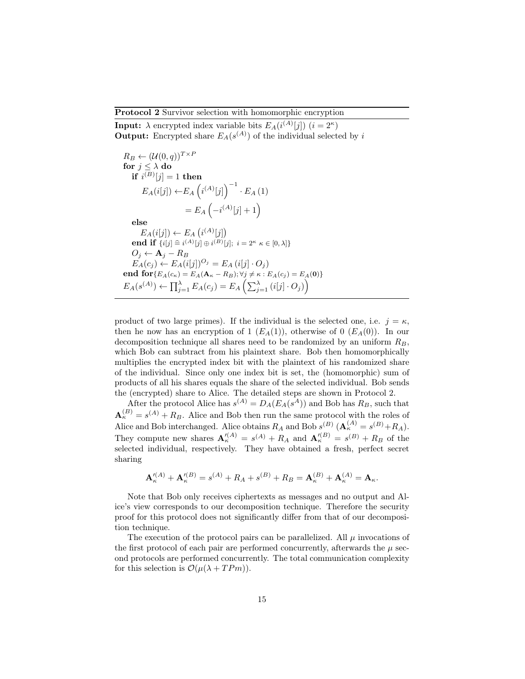### Protocol 2 Survivor selection with homomorphic encryption

**Input:**  $\lambda$  encrypted index variable bits  $E_A(i^{(A)}[j])$   $(i = 2^{\kappa})$ **Output:** Encrypted share  $E_A(s^{(A)})$  of the individual selected by i

$$
R_B \leftarrow (\mathcal{U}(0, q))^{T \times P}
$$
  
\nfor  $j \leq \lambda$  do  
\nif  $i^{(B)}[j] = 1$  then  
\n
$$
E_A(i[j]) \leftarrow E_A \left( i^{(A)}[j] \right)^{-1} \cdot E_A (1)
$$
\n
$$
= E_A \left( -i^{(A)}[j] + 1 \right)
$$
\nelse  
\n
$$
E_A(i[j]) \leftarrow E_A \left( i^{(A)}[j] \right)
$$
\nend if  $\{i[j] \triangleq i^{(A)}[j] \oplus i^{(B)}[j]; i = 2^{\kappa} \kappa \in [0, \lambda] \}$   
\n
$$
O_j \leftarrow A_j - R_B
$$
\n
$$
E_A(c_j) \leftarrow E_A(i[j])^{O_j} = E_A(i[j] \cdot O_j)
$$
\nend for  $\{E_A(c_k) = E_A(A_{\kappa} - R_B); \forall j \neq \kappa : E_A(c_j) = E_A(0) \}$   
\n
$$
E_A(s^{(A)}) \leftarrow \prod_{j=1}^{\lambda} E_A(c_j) = E_A \left( \sum_{j=1}^{\lambda} (i[j] \cdot O_j) \right)
$$

product of two large primes). If the individual is the selected one, i.e.  $j = \kappa$ , then he now has an encryption of 1  $(E_A(1))$ , otherwise of 0  $(E_A(0))$ . In our decomposition technique all shares need to be randomized by an uniform  $R_B$ , which Bob can subtract from his plaintext share. Bob then homomorphically multiplies the encrypted index bit with the plaintext of his randomized share of the individual. Since only one index bit is set, the (homomorphic) sum of products of all his shares equals the share of the selected individual. Bob sends the (encrypted) share to Alice. The detailed steps are shown in Protocol 2.

After the protocol Alice has  $s^{(A)} = D_A(E_A(s^A))$  and Bob has  $R_B$ , such that  $\mathbf{A}_{\kappa}^{(B)} = s^{(A)} + R_B$ . Alice and Bob then run the same protocol with the roles of Alice and Bob interchanged. Alice obtains  $R_A$  and Bob  $s^{(B)}$   $(\mathbf{A}_{\kappa}^{(A)} = s^{(B)} + R_A)$ . They compute new shares  $\mathbf{A}_{\kappa}^{\prime(A)} = s^{(A)} + R_A$  and  $\mathbf{A}_{\kappa}^{\prime(B)} = s^{(B)} + R_B$  of the selected individual, respectively. They have obtained a fresh, perfect secret sharing

$$
\mathbf{A}_{\kappa}^{\prime(A)} + \mathbf{A}_{\kappa}^{\prime(B)} = s^{(A)} + R_A + s^{(B)} + R_B = \mathbf{A}_{\kappa}^{(B)} + \mathbf{A}_{\kappa}^{(A)} = \mathbf{A}_{\kappa}.
$$

Note that Bob only receives ciphertexts as messages and no output and Alice's view corresponds to our decomposition technique. Therefore the security proof for this protocol does not significantly differ from that of our decomposition technique.

The execution of the protocol pairs can be parallelized. All  $\mu$  invocations of the first protocol of each pair are performed concurrently, afterwards the  $\mu$  second protocols are performed concurrently. The total communication complexity for this selection is  $\mathcal{O}(\mu(\lambda + T Pm)).$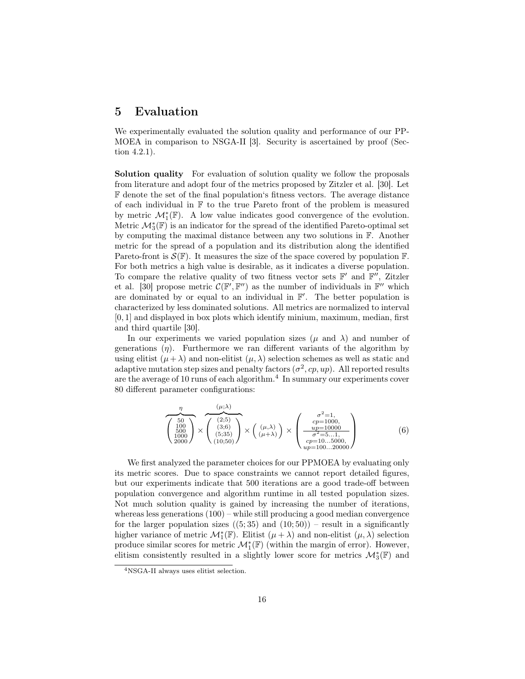## 5 Evaluation

We experimentally evaluated the solution quality and performance of our PP-MOEA in comparison to NSGA-II [3]. Security is ascertained by proof (Section 4.2.1).

Solution quality For evaluation of solution quality we follow the proposals from literature and adopt four of the metrics proposed by Zitzler et al. [30]. Let F denote the set of the final population's fitness vectors. The average distance of each individual in  $\mathbb F$  to the true Pareto front of the problem is measured by metric  $\mathcal{M}_1^*(\mathbb{F})$ . A low value indicates good convergence of the evolution. Metric  $\mathcal{M}_{3}^{*}(\mathbb{F})$  is an indicator for the spread of the identified Pareto-optimal set by computing the maximal distance between any two solutions in F. Another metric for the spread of a population and its distribution along the identified Pareto-front is  $\mathcal{S}(\mathbb{F})$ . It measures the size of the space covered by population  $\mathbb{F}$ . For both metrics a high value is desirable, as it indicates a diverse population. To compare the relative quality of two fitness vector sets  $\mathbb{F}'$  and  $\mathbb{F}''$ , Zitzler et al. [30] propose metric  $\mathcal{C}(\mathbb{F}', \mathbb{F}'')$  as the number of individuals in  $\mathbb{F}''$  which are dominated by or equal to an individual in  $\mathbb{F}'$ . The better population is characterized by less dominated solutions. All metrics are normalized to interval [0, 1] and displayed in box plots which identify minium, maximum, median, first and third quartile [30].

In our experiments we varied population sizes ( $\mu$  and  $\lambda$ ) and number of generations  $(\eta)$ . Furthermore we ran different variants of the algorithm by using elitist  $(\mu + \lambda)$  and non-elitist  $(\mu, \lambda)$  selection schemes as well as static and adaptive mutation step sizes and penalty factors  $(\sigma^2, cp, up)$ . All reported results are the average of 10 runs of each algorithm.<sup>4</sup> In summary our experiments cover 80 different parameter configurations:

 $\lambda$ 

$$
\overbrace{\left(\begin{array}{c} 50\\100\\500\\1000\\2000 \end{array}\right)}^{(\mu;\lambda)} \times \overbrace{\left(\begin{array}{c} (2;5)\\(3;6)\\(5;35)\\(10;50) \end{array}\right)}^{(\mu;\lambda)} \times \left(\begin{array}{c} \sigma^2=1,\\cp=1000,\\ \frac{up=10000}{\sigma^2=5...1,}\\ \sigma^2=5...1,\\cp=100...5000,\\ up=100...20000 \end{array}\right) (6)
$$

We first analyzed the parameter choices for our PPMOEA by evaluating only its metric scores. Due to space constraints we cannot report detailed figures, but our experiments indicate that 500 iterations are a good trade-off between population convergence and algorithm runtime in all tested population sizes. Not much solution quality is gained by increasing the number of iterations, whereas less generations (100) – while still producing a good median convergence for the larger population sizes  $(5,35)$  and  $(10,50)$  – result in a significantly higher variance of metric  $\mathcal{M}_{1}^{*}(\mathbb{F})$ . Elitist  $(\mu + \lambda)$  and non-elitist  $(\mu, \lambda)$  selection produce similar scores for metric  $\mathcal{M}_{1}^{*}(\mathbb{F})$  (within the margin of error). However, elitism consistently resulted in a slightly lower score for metrics  $\mathcal{M}_{3}^{*}(\mathbb{F})$  and

<sup>4</sup>NSGA-II always uses elitist selection.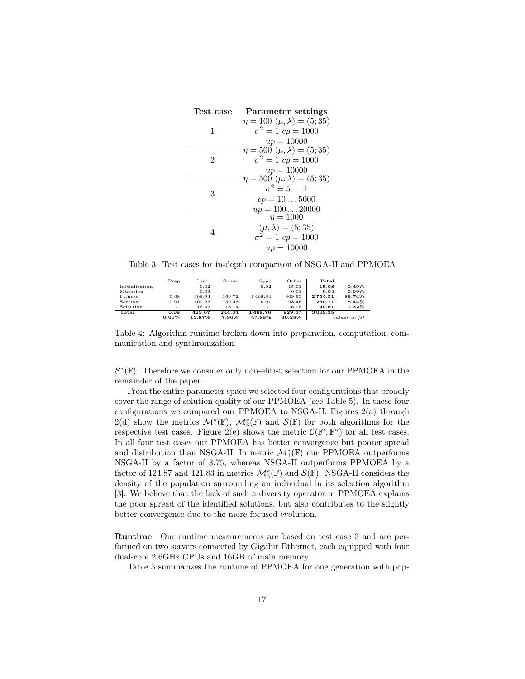| Test case | Parameter settings                       |
|-----------|------------------------------------------|
|           | $\eta = 100 \; (\mu, \lambda) = (5; 35)$ |
| 1         | $\sigma^2 = 1$ cp = 1000                 |
|           | $up = 10000$                             |
|           | $\eta = 500 \; (\mu, \lambda) = (5; 35)$ |
| 2         | $\sigma^2 = 1$ cp = 1000                 |
|           | $up = 10000$                             |
|           | $\eta = 500 \; (\mu, \lambda) = (5, 35)$ |
| 3         | $\sigma^2 = 5 \dots 1$                   |
|           | $cp = 105000$                            |
|           | $up = 10020000$                          |
|           | $n = 1000$                               |
|           | $(\mu, \lambda) = (5; 35)$               |
| 4         | $\sigma^2 = 1$ cp = 1000                 |
|           | $up = 10000$                             |

Table 3: Test cases for in-depth comparison of NSGA-II and PPMOEA

|                | Prep     | Comp   | $_{\rm Comm}$ | Sync    | Other  | Total         |          |
|----------------|----------|--------|---------------|---------|--------|---------------|----------|
| Initialization | ٠        | 0.02   | ۰             | 0.02    | 15.01  | 15.08         | 0.49%    |
| Mutation       | ٠        | 0.03   |               |         | 0.01   | 0.04          | $0.00\%$ |
| Fitness        | 0.08     | 308.94 | 166.72        | 1468.84 | 809.93 | 2754.51       | 89.74%   |
| Sorting        | 0.01     | 100.26 | 59.48         | 0.91    | 98.46  | 259.11        | 8.44%    |
| Selection      | ٠        | 16.42  | 18.14         |         | 6.05   | 40.61         | 1.32%    |
| Total          | 0.09     | 425.67 | 244.34        | 1469.76 | 929.47 | 3069.35       |          |
|                | $0.00\%$ | 13.87% | 7.96%         | 47.89%  | 30.28% | values in [s] |          |

Table 4: Algorithm runtime broken down into preparation, computation, communication and synchronization.

 $\mathcal{S}^*(\mathbb{F})$ . Therefore we consider only non-elitist selection for our PPMOEA in the remainder of the paper.

From the entire parameter space we selected four configurations that broadly cover the range of solution quality of our PPMOEA (see Table 5). In these four configurations we compared our PPMOEA to NSGA-II. Figures  $2(a)$  through 2(d) show the metrics  $\mathcal{M}_1^*(\mathbb{F})$ ,  $\mathcal{M}_3^*(\mathbb{F})$  and  $\mathcal{S}(\mathbb{F})$  for both algorithms for the respective test cases. Figure 2(e) shows the metric  $\mathcal{C}(\mathbb{F}', \mathbb{F}'')$  for all test cases. In all four test cases our PPMOEA has better convergence but poorer spread and distribution than NSGA-II. In metric  $\mathcal{M}_1^*(\mathbb{F})$  our PPMOEA outperforms NSGA-II by a factor of 3.75, whereas NSGA-II outperforms PPMOEA by a factor of 124.87 and 421.83 in metrics  $\mathcal{M}_{3}^{*}(\mathbb{F})$  and  $\mathcal{S}(\mathbb{F})$ . NSGA-II considers the density of the population surrounding an individual in its selection algorithm [3]. We believe that the lack of such a diversity operator in PPMOEA explains the poor spread of the identified solutions, but also contributes to the slightly better convergence due to the more focused evolution.

Runtime Our runtime measurements are based on test case 3 and are performed on two servers connected by Gigabit Ethernet, each equipped with four dual-core 2.6GHz CPUs and 16GB of main memory.

Table 5 summarizes the runtime of PPMOEA for one generation with pop-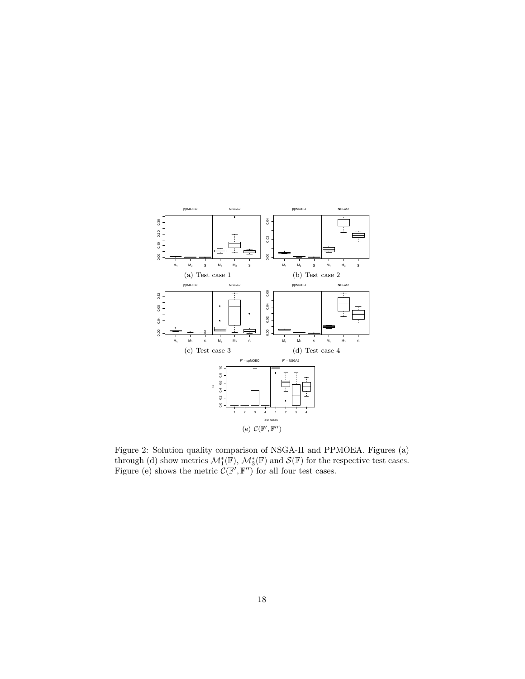

Figure 2: Solution quality comparison of NSGA-II and PPMOEA. Figures (a) through (d) show metrics  $\mathcal{M}_{1}^{*}(\mathbb{F})$ ,  $\mathcal{M}_{3}^{*}(\mathbb{F})$  and  $\mathcal{S}(\mathbb{F})$  for the respective test cases. Figure (e) shows the metric  $\mathcal{C}(\mathbb{F}', \mathbb{F}'')$  for all four test cases.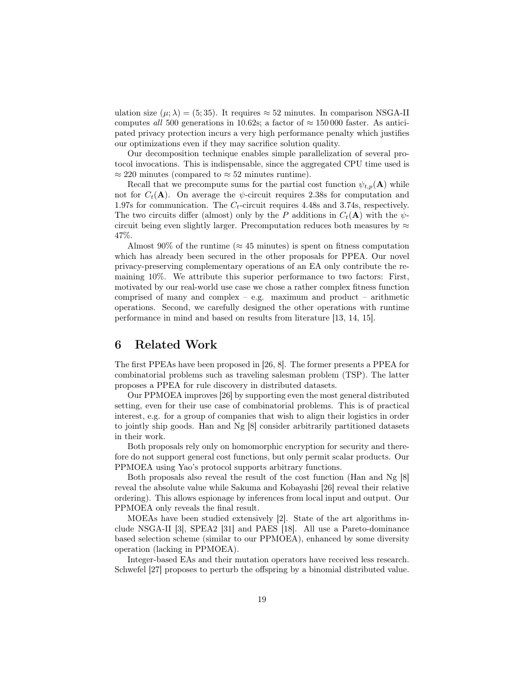ulation size  $(\mu; \lambda) = (5, 35)$ . It requires  $\approx 52$  minutes. In comparison NSGA-II computes all 500 generations in 10.62s; a factor of  $\approx 150000$  faster. As anticipated privacy protection incurs a very high performance penalty which justifies our optimizations even if they may sacrifice solution quality.

Our decomposition technique enables simple parallelization of several protocol invocations. This is indispensable, since the aggregated CPU time used is  $\approx 220$  minutes (compared to  $\approx 52$  minutes runtime).

Recall that we precompute sums for the partial cost function  $\psi_{t,p}(\mathbf{A})$  while not for  $C_t(\mathbf{A})$ . On average the  $\psi$ -circuit requires 2.38s for computation and 1.97s for communication. The  $C_t$ -circuit requires 4.48s and 3.74s, respectively. The two circuits differ (almost) only by the P additions in  $C_t(\mathbf{A})$  with the  $\psi$ circuit being even slightly larger. Precomputation reduces both measures by  $\approx$ 47%.

Almost 90% of the runtime ( $\approx 45$  minutes) is spent on fitness computation which has already been secured in the other proposals for PPEA. Our novel privacy-preserving complementary operations of an EA only contribute the remaining 10%. We attribute this superior performance to two factors: First, motivated by our real-world use case we chose a rather complex fitness function comprised of many and complex – e.g. maximum and product – arithmetic operations. Second, we carefully designed the other operations with runtime performance in mind and based on results from literature [13, 14, 15].

# 6 Related Work

The first PPEAs have been proposed in [26, 8]. The former presents a PPEA for combinatorial problems such as traveling salesman problem (TSP). The latter proposes a PPEA for rule discovery in distributed datasets.

Our PPMOEA improves [26] by supporting even the most general distributed setting, even for their use case of combinatorial problems. This is of practical interest, e.g. for a group of companies that wish to align their logistics in order to jointly ship goods. Han and Ng [8] consider arbitrarily partitioned datasets in their work.

Both proposals rely only on homomorphic encryption for security and therefore do not support general cost functions, but only permit scalar products. Our PPMOEA using Yao's protocol supports arbitrary functions.

Both proposals also reveal the result of the cost function (Han and Ng [8] reveal the absolute value while Sakuma and Kobayashi [26] reveal their relative ordering). This allows espionage by inferences from local input and output. Our PPMOEA only reveals the final result.

MOEAs have been studied extensively [2]. State of the art algorithms include NSGA-II [3], SPEA2 [31] and PAES [18]. All use a Pareto-dominance based selection scheme (similar to our PPMOEA), enhanced by some diversity operation (lacking in PPMOEA).

Integer-based EAs and their mutation operators have received less research. Schwefel [27] proposes to perturb the offspring by a binomial distributed value.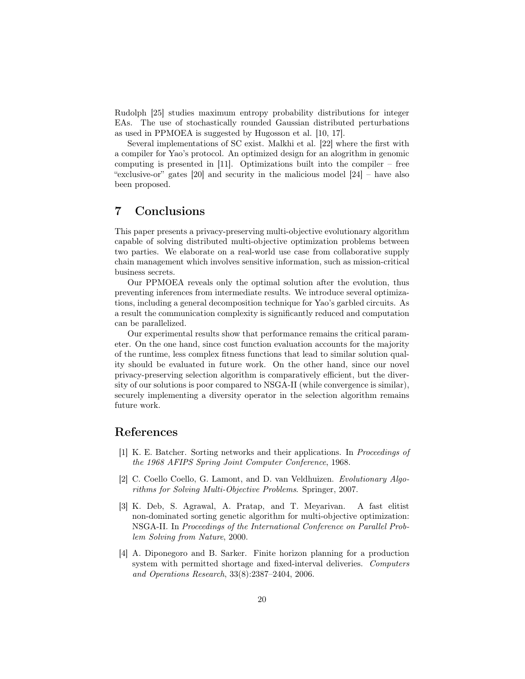Rudolph [25] studies maximum entropy probability distributions for integer EAs. The use of stochastically rounded Gaussian distributed perturbations as used in PPMOEA is suggested by Hugosson et al. [10, 17].

Several implementations of SC exist. Malkhi et al. [22] where the first with a compiler for Yao's protocol. An optimized design for an alogrithm in genomic computing is presented in [11]. Optimizations built into the compiler – free "exclusive-or" gates [20] and security in the malicious model [24] – have also been proposed.

# 7 Conclusions

This paper presents a privacy-preserving multi-objective evolutionary algorithm capable of solving distributed multi-objective optimization problems between two parties. We elaborate on a real-world use case from collaborative supply chain management which involves sensitive information, such as mission-critical business secrets.

Our PPMOEA reveals only the optimal solution after the evolution, thus preventing inferences from intermediate results. We introduce several optimizations, including a general decomposition technique for Yao's garbled circuits. As a result the communication complexity is significantly reduced and computation can be parallelized.

Our experimental results show that performance remains the critical parameter. On the one hand, since cost function evaluation accounts for the majority of the runtime, less complex fitness functions that lead to similar solution quality should be evaluated in future work. On the other hand, since our novel privacy-preserving selection algorithm is comparatively efficient, but the diversity of our solutions is poor compared to NSGA-II (while convergence is similar), securely implementing a diversity operator in the selection algorithm remains future work.

# References

- [1] K. E. Batcher. Sorting networks and their applications. In Proceedings of the 1968 AFIPS Spring Joint Computer Conference, 1968.
- [2] C. Coello Coello, G. Lamont, and D. van Veldhuizen. Evolutionary Algorithms for Solving Multi-Objective Problems. Springer, 2007.
- [3] K. Deb, S. Agrawal, A. Pratap, and T. Meyarivan. A fast elitist non-dominated sorting genetic algorithm for multi-objective optimization: NSGA-II. In Proceedings of the International Conference on Parallel Problem Solving from Nature, 2000.
- [4] A. Diponegoro and B. Sarker. Finite horizon planning for a production system with permitted shortage and fixed-interval deliveries. Computers and Operations Research, 33(8):2387–2404, 2006.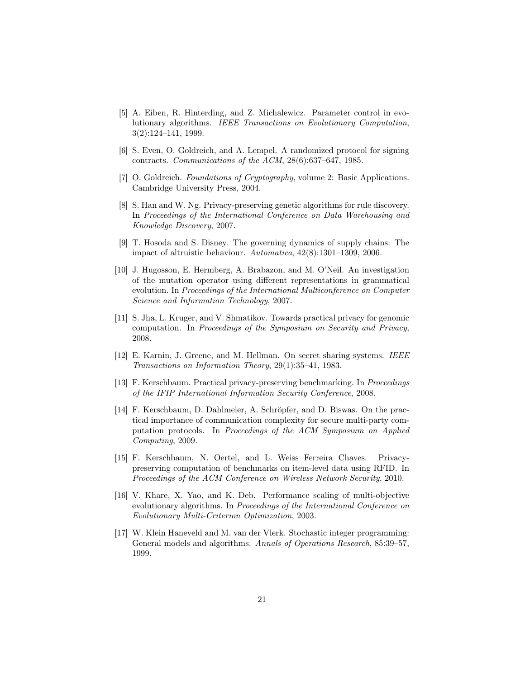- [5] A. Eiben, R. Hinterding, and Z. Michalewicz. Parameter control in evolutionary algorithms. IEEE Transactions on Evolutionary Computation, 3(2):124–141, 1999.
- [6] S. Even, O. Goldreich, and A. Lempel. A randomized protocol for signing contracts. Communications of the ACM, 28(6):637–647, 1985.
- [7] O. Goldreich. Foundations of Cryptography, volume 2: Basic Applications. Cambridge University Press, 2004.
- [8] S. Han and W. Ng. Privacy-preserving genetic algorithms for rule discovery. In Proceedings of the International Conference on Data Warehousing and Knowledge Discovery, 2007.
- [9] T. Hosoda and S. Disney. The governing dynamics of supply chains: The impact of altruistic behaviour. Automatica, 42(8):1301–1309, 2006.
- [10] J. Hugosson, E. Hermberg, A. Brabazon, and M. O'Neil. An investigation of the mutation operator using different representations in grammatical evolution. In Proceedings of the International Multiconference on Computer Science and Information Technology, 2007.
- [11] S. Jha, L. Kruger, and V. Shmatikov. Towards practical privacy for genomic computation. In Proceedings of the Symposium on Security and Privacy, 2008.
- [12] E. Karnin, J. Greene, and M. Hellman. On secret sharing systems. IEEE Transactions on Information Theory, 29(1):35–41, 1983.
- [13] F. Kerschbaum. Practical privacy-preserving benchmarking. In Proceedings of the IFIP International Information Security Conference, 2008.
- [14] F. Kerschbaum, D. Dahlmeier, A. Schröpfer, and D. Biswas. On the practical importance of communication complexity for secure multi-party computation protocols. In Proceedings of the ACM Symposium on Applied Computing, 2009.
- [15] F. Kerschbaum, N. Oertel, and L. Weiss Ferreira Chaves. Privacypreserving computation of benchmarks on item-level data using RFID. In Proceedings of the ACM Conference on Wireless Network Security, 2010.
- [16] V. Khare, X. Yao, and K. Deb. Performance scaling of multi-objective evolutionary algorithms. In Proceedings of the International Conference on Evolutionary Multi-Criterion Optimization, 2003.
- [17] W. Klein Haneveld and M. van der Vlerk. Stochastic integer programming: General models and algorithms. Annals of Operations Research, 85:39–57, 1999.